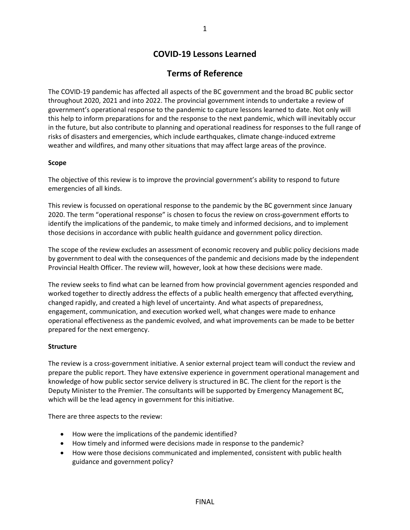# **COVID-19 Lessons Learned**

## **Terms of Reference**

The COVID-19 pandemic has affected all aspects of the BC government and the broad BC public sector throughout 2020, 2021 and into 2022. The provincial government intends to undertake a review of government's operational response to the pandemic to capture lessons learned to date. Not only will this help to inform preparations for and the response to the next pandemic, which will inevitably occur in the future, but also contribute to planning and operational readiness for responses to the full range of risks of disasters and emergencies, which include earthquakes, climate change-induced extreme weather and wildfires, and many other situations that may affect large areas of the province.

#### **Scope**

The objective of this review is to improve the provincial government's ability to respond to future emergencies of all kinds.

This review is focussed on operational response to the pandemic by the BC government since January 2020. The term "operational response" is chosen to focus the review on cross-government efforts to identify the implications of the pandemic, to make timely and informed decisions, and to implement those decisions in accordance with public health guidance and government policy direction.

The scope of the review excludes an assessment of economic recovery and public policy decisions made by government to deal with the consequences of the pandemic and decisions made by the independent Provincial Health Officer. The review will, however, look at how these decisions were made.

The review seeks to find what can be learned from how provincial government agencies responded and worked together to directly address the effects of a public health emergency that affected everything, changed rapidly, and created a high level of uncertainty. And what aspects of preparedness, engagement, communication, and execution worked well, what changes were made to enhance operational effectiveness as the pandemic evolved, and what improvements can be made to be better prepared for the next emergency.

#### **Structure**

The review is a cross-government initiative. A senior external project team will conduct the review and prepare the public report. They have extensive experience in government operational management and knowledge of how public sector service delivery is structured in BC. The client for the report is the Deputy Minister to the Premier. The consultants will be supported by Emergency Management BC, which will be the lead agency in government for this initiative.

There are three aspects to the review:

- How were the implications of the pandemic identified?
- How timely and informed were decisions made in response to the pandemic?
- How were those decisions communicated and implemented, consistent with public health guidance and government policy?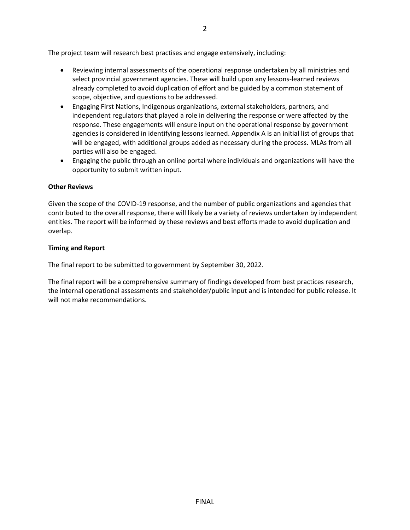The project team will research best practises and engage extensively, including:

- Reviewing internal assessments of the operational response undertaken by all ministries and select provincial government agencies. These will build upon any lessons-learned reviews already completed to avoid duplication of effort and be guided by a common statement of scope, objective, and questions to be addressed.
- Engaging First Nations, Indigenous organizations, external stakeholders, partners, and independent regulators that played a role in delivering the response or were affected by the response. These engagements will ensure input on the operational response by government agencies is considered in identifying lessons learned. Appendix A is an initial list of groups that will be engaged, with additional groups added as necessary during the process. MLAs from all parties will also be engaged.
- Engaging the public through an online portal where individuals and organizations will have the opportunity to submit written input.

## **Other Reviews**

Given the scope of the COVID-19 response, and the number of public organizations and agencies that contributed to the overall response, there will likely be a variety of reviews undertaken by independent entities. The report will be informed by these reviews and best efforts made to avoid duplication and overlap.

## **Timing and Report**

The final report to be submitted to government by September 30, 2022.

The final report will be a comprehensive summary of findings developed from best practices research, the internal operational assessments and stakeholder/public input and is intended for public release. It will not make recommendations.